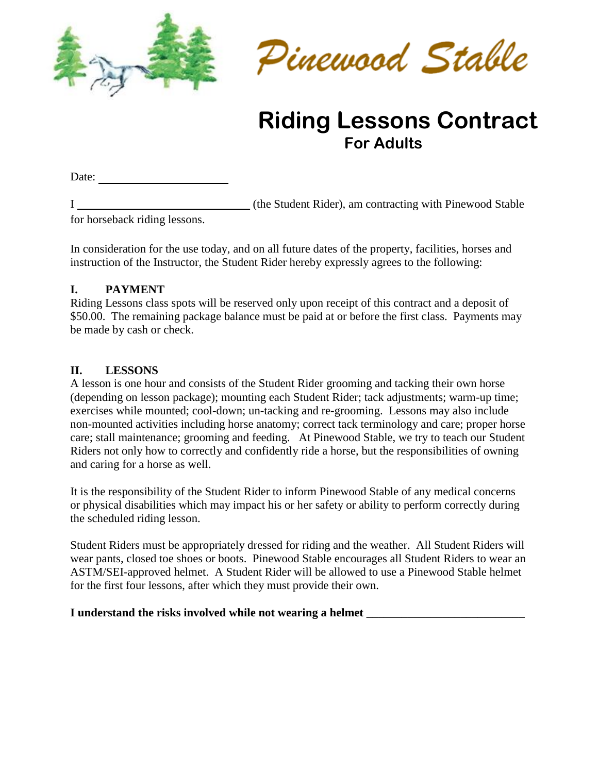



# **Riding Lessons Contract For Adults**

Date:  $\qquad \qquad$ 

I (the Student Rider), am contracting with Pinewood Stable for horseback riding lessons.

In consideration for the use today, and on all future dates of the property, facilities, horses and instruction of the Instructor, the Student Rider hereby expressly agrees to the following:

#### **I. PAYMENT**

Riding Lessons class spots will be reserved only upon receipt of this contract and a deposit of \$50.00. The remaining package balance must be paid at or before the first class. Payments may be made by cash or check.

### **II. LESSONS**

A lesson is one hour and consists of the Student Rider grooming and tacking their own horse (depending on lesson package); mounting each Student Rider; tack adjustments; warm-up time; exercises while mounted; cool-down; un-tacking and re-grooming. Lessons may also include non-mounted activities including horse anatomy; correct tack terminology and care; proper horse care; stall maintenance; grooming and feeding. At Pinewood Stable, we try to teach our Student Riders not only how to correctly and confidently ride a horse, but the responsibilities of owning and caring for a horse as well.

It is the responsibility of the Student Rider to inform Pinewood Stable of any medical concerns or physical disabilities which may impact his or her safety or ability to perform correctly during the scheduled riding lesson.

Student Riders must be appropriately dressed for riding and the weather. All Student Riders will wear pants, closed toe shoes or boots. Pinewood Stable encourages all Student Riders to wear an ASTM/SEI-approved helmet. A Student Rider will be allowed to use a Pinewood Stable helmet for the first four lessons, after which they must provide their own.

#### **I** understand the risks involved while not wearing a helmet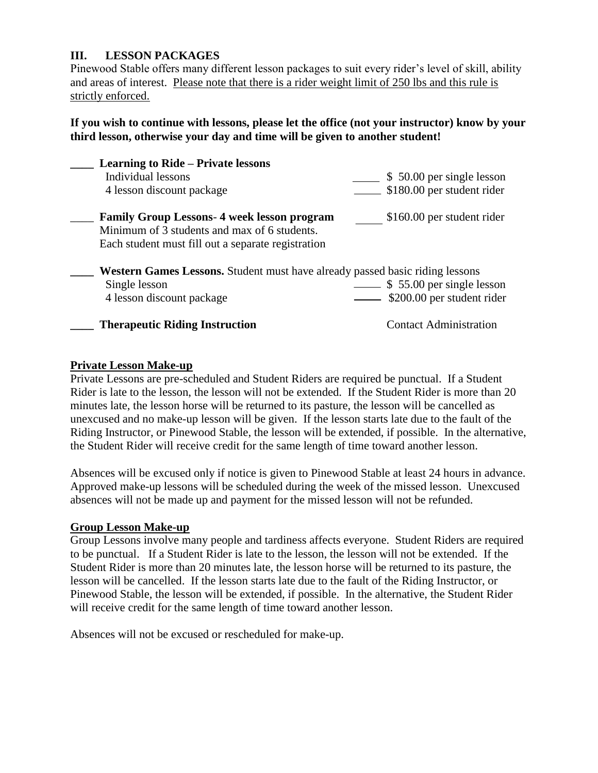#### **III. LESSON PACKAGES**

Pinewood Stable offers many different lesson packages to suit every rider's level of skill, ability and areas of interest. Please note that there is a rider weight limit of 250 lbs and this rule is strictly enforced.

#### **If you wish to continue with lessons, please let the office (not your instructor) know by your third lesson, otherwise your day and time will be given to another student!**

| <b>Learning to Ride – Private lessons</b><br>Individual lessons<br>4 lesson discount package                                                            | \$50.00 per single lesson<br>\$180.00 per student rider |
|---------------------------------------------------------------------------------------------------------------------------------------------------------|---------------------------------------------------------|
| <b>Family Group Lessons-4 week lesson program</b><br>Minimum of 3 students and max of 6 students.<br>Each student must fill out a separate registration | \$160.00 per student rider                              |
| <b>Western Games Lessons.</b> Student must have already passed basic riding lessons<br>Single lesson<br>4 lesson discount package                       | \$55.00 per single lesson<br>\$200.00 per student rider |
| <b>Therapeutic Riding Instruction</b>                                                                                                                   | <b>Contact Administration</b>                           |

#### **Private Lesson Make-up**

Private Lessons are pre-scheduled and Student Riders are required be punctual. If a Student Rider is late to the lesson, the lesson will not be extended. If the Student Rider is more than 20 minutes late, the lesson horse will be returned to its pasture, the lesson will be cancelled as unexcused and no make-up lesson will be given. If the lesson starts late due to the fault of the Riding Instructor, or Pinewood Stable, the lesson will be extended, if possible. In the alternative, the Student Rider will receive credit for the same length of time toward another lesson.

Absences will be excused only if notice is given to Pinewood Stable at least 24 hours in advance. Approved make-up lessons will be scheduled during the week of the missed lesson. Unexcused absences will not be made up and payment for the missed lesson will not be refunded.

#### **Group Lesson Make-up**

Group Lessons involve many people and tardiness affects everyone. Student Riders are required to be punctual. If a Student Rider is late to the lesson, the lesson will not be extended. If the Student Rider is more than 20 minutes late, the lesson horse will be returned to its pasture, the lesson will be cancelled. If the lesson starts late due to the fault of the Riding Instructor, or Pinewood Stable, the lesson will be extended, if possible. In the alternative, the Student Rider will receive credit for the same length of time toward another lesson.

Absences will not be excused or rescheduled for make-up.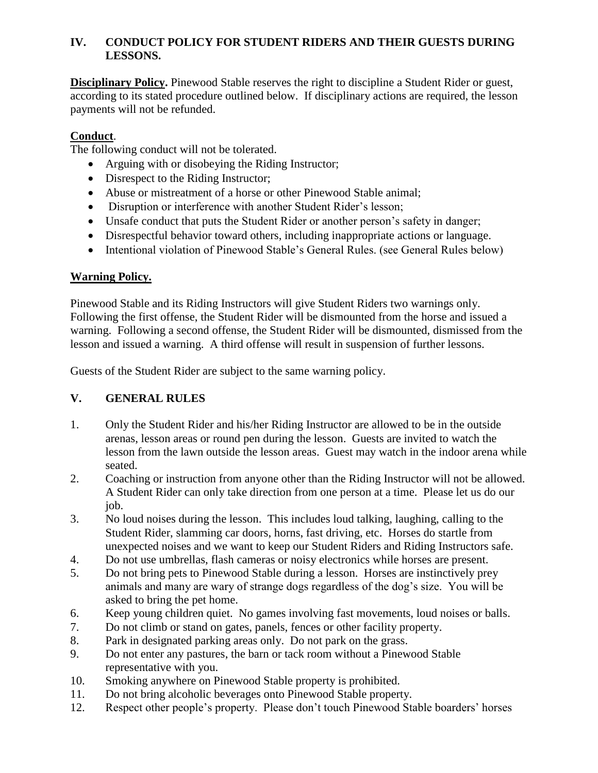#### **IV. CONDUCT POLICY FOR STUDENT RIDERS AND THEIR GUESTS DURING LESSONS.**

**Disciplinary Policy.** Pinewood Stable reserves the right to discipline a Student Rider or guest, according to its stated procedure outlined below. If disciplinary actions are required, the lesson payments will not be refunded.

#### **Conduct**.

The following conduct will not be tolerated.

- Arguing with or disobeying the Riding Instructor;
- Disrespect to the Riding Instructor:
- Abuse or mistreatment of a horse or other Pinewood Stable animal;
- Disruption or interference with another Student Rider's lesson;
- Unsafe conduct that puts the Student Rider or another person's safety in danger;
- Disrespectful behavior toward others, including inappropriate actions or language.
- Intentional violation of Pinewood Stable's General Rules. (see General Rules below)

#### **Warning Policy.**

Pinewood Stable and its Riding Instructors will give Student Riders two warnings only. Following the first offense, the Student Rider will be dismounted from the horse and issued a warning. Following a second offense, the Student Rider will be dismounted, dismissed from the lesson and issued a warning. A third offense will result in suspension of further lessons.

Guests of the Student Rider are subject to the same warning policy.

### **V. GENERAL RULES**

- 1. Only the Student Rider and his/her Riding Instructor are allowed to be in the outside arenas, lesson areas or round pen during the lesson. Guests are invited to watch the lesson from the lawn outside the lesson areas. Guest may watch in the indoor arena while seated.
- 2. Coaching or instruction from anyone other than the Riding Instructor will not be allowed. A Student Rider can only take direction from one person at a time. Please let us do our job.
- 3. No loud noises during the lesson. This includes loud talking, laughing, calling to the Student Rider, slamming car doors, horns, fast driving, etc. Horses do startle from unexpected noises and we want to keep our Student Riders and Riding Instructors safe.
- 4. Do not use umbrellas, flash cameras or noisy electronics while horses are present.
- 5. Do not bring pets to Pinewood Stable during a lesson. Horses are instinctively prey animals and many are wary of strange dogs regardless of the dog's size. You will be asked to bring the pet home.
- 6. Keep young children quiet. No games involving fast movements, loud noises or balls.
- 7. Do not climb or stand on gates, panels, fences or other facility property.
- 8. Park in designated parking areas only. Do not park on the grass.
- 9. Do not enter any pastures, the barn or tack room without a Pinewood Stable representative with you.
- 10. Smoking anywhere on Pinewood Stable property is prohibited.
- 11. Do not bring alcoholic beverages onto Pinewood Stable property.
- 12. Respect other people's property. Please don't touch Pinewood Stable boarders' horses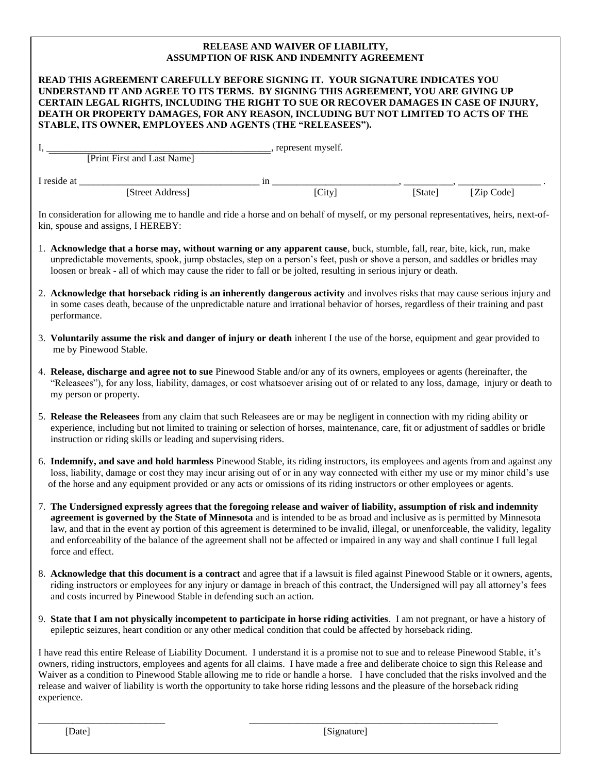#### and tack . **RELEASE AND WAIVER OF LIABILITY, ASSUMPTION OF RISK AND INDEMNITY AGREEMENT**

| READ THIS AGREEMENT CAREFULLY BEFORE SIGNING IT. YOUR SIGNATURE INDICATES YOU<br>UNDERSTAND IT AND AGREE TO ITS TERMS. BY SIGNING THIS AGREEMENT, YOU ARE GIVING UP<br>CERTAIN LEGAL RIGHTS, INCLUDING THE RIGHT TO SUE OR RECOVER DAMAGES IN CASE OF INJURY,<br>DEATH OR PROPERTY DAMAGES, FOR ANY REASON, INCLUDING BUT NOT LIMITED TO ACTS OF THE                                                                                                                                                                                                           |                                                 |  |  |  |            |
|----------------------------------------------------------------------------------------------------------------------------------------------------------------------------------------------------------------------------------------------------------------------------------------------------------------------------------------------------------------------------------------------------------------------------------------------------------------------------------------------------------------------------------------------------------------|-------------------------------------------------|--|--|--|------------|
| STABLE, ITS OWNER, EMPLOYEES AND AGENTS (THE "RELEASEES").                                                                                                                                                                                                                                                                                                                                                                                                                                                                                                     |                                                 |  |  |  |            |
|                                                                                                                                                                                                                                                                                                                                                                                                                                                                                                                                                                | [Print First and Last Name] , represent myself. |  |  |  |            |
|                                                                                                                                                                                                                                                                                                                                                                                                                                                                                                                                                                |                                                 |  |  |  |            |
|                                                                                                                                                                                                                                                                                                                                                                                                                                                                                                                                                                |                                                 |  |  |  | [Zip Code] |
| In consideration for allowing me to handle and ride a horse and on behalf of myself, or my personal representatives, heirs, next-of-<br>kin, spouse and assigns, I HEREBY:                                                                                                                                                                                                                                                                                                                                                                                     |                                                 |  |  |  |            |
| 1. Acknowledge that a horse may, without warning or any apparent cause, buck, stumble, fall, rear, bite, kick, run, make<br>unpredictable movements, spook, jump obstacles, step on a person's feet, push or shove a person, and saddles or bridles may<br>loosen or break - all of which may cause the rider to fall or be jolted, resulting in serious injury or death.                                                                                                                                                                                      |                                                 |  |  |  |            |
| 2. Acknowledge that horseback riding is an inherently dangerous activity and involves risks that may cause serious injury and<br>in some cases death, because of the unpredictable nature and irrational behavior of horses, regardless of their training and past<br>performance.                                                                                                                                                                                                                                                                             |                                                 |  |  |  |            |
| 3. Voluntarily assume the risk and danger of injury or death inherent I the use of the horse, equipment and gear provided to<br>me by Pinewood Stable.                                                                                                                                                                                                                                                                                                                                                                                                         |                                                 |  |  |  |            |
| 4. Release, discharge and agree not to sue Pinewood Stable and/or any of its owners, employees or agents (hereinafter, the<br>"Releasees"), for any loss, liability, damages, or cost whatsoever arising out of or related to any loss, damage, injury or death to<br>my person or property.                                                                                                                                                                                                                                                                   |                                                 |  |  |  |            |
| 5. Release the Releasees from any claim that such Releasees are or may be negligent in connection with my riding ability or<br>experience, including but not limited to training or selection of horses, maintenance, care, fit or adjustment of saddles or bridle<br>instruction or riding skills or leading and supervising riders.                                                                                                                                                                                                                          |                                                 |  |  |  |            |
| 6. Indemnify, and save and hold harmless Pinewood Stable, its riding instructors, its employees and agents from and against any<br>loss, liability, damage or cost they may incur arising out of or in any way connected with either my use or my minor child's use<br>of the horse and any equipment provided or any acts or omissions of its riding instructors or other employees or agents.                                                                                                                                                                |                                                 |  |  |  |            |
| 7. The Undersigned expressly agrees that the foregoing release and waiver of liability, assumption of risk and indemnity<br>agreement is governed by the State of Minnesota and is intended to be as broad and inclusive as is permitted by Minnesota<br>law, and that in the event ay portion of this agreement is determined to be invalid, illegal, or unenforceable, the validity, legality<br>and enforceability of the balance of the agreement shall not be affected or impaired in any way and shall continue I full legal<br>force and effect.        |                                                 |  |  |  |            |
| 8. Acknowledge that this document is a contract and agree that if a lawsuit is filed against Pinewood Stable or it owners, agents,<br>riding instructors or employees for any injury or damage in breach of this contract, the Undersigned will pay all attorney's fees<br>and costs incurred by Pinewood Stable in defending such an action.                                                                                                                                                                                                                  |                                                 |  |  |  |            |
| 9. State that I am not physically incompetent to participate in horse riding activities. I am not pregnant, or have a history of<br>epileptic seizures, heart condition or any other medical condition that could be affected by horseback riding.                                                                                                                                                                                                                                                                                                             |                                                 |  |  |  |            |
| I have read this entire Release of Liability Document. I understand it is a promise not to sue and to release Pinewood Stable, it's<br>owners, riding instructors, employees and agents for all claims. I have made a free and deliberate choice to sign this Release and<br>Waiver as a condition to Pinewood Stable allowing me to ride or handle a horse. I have concluded that the risks involved and the<br>release and waiver of liability is worth the opportunity to take horse riding lessons and the pleasure of the horseback riding<br>experience. |                                                 |  |  |  |            |

[Date] [Signature]

\_\_\_\_\_\_\_\_\_\_\_\_\_\_\_\_\_\_\_\_\_\_\_\_\_\_ \_\_\_\_\_\_\_\_\_\_\_\_\_\_\_\_\_\_\_\_\_\_\_\_\_\_\_\_\_\_\_\_\_\_\_\_\_\_\_\_\_\_\_\_\_\_\_\_\_\_\_